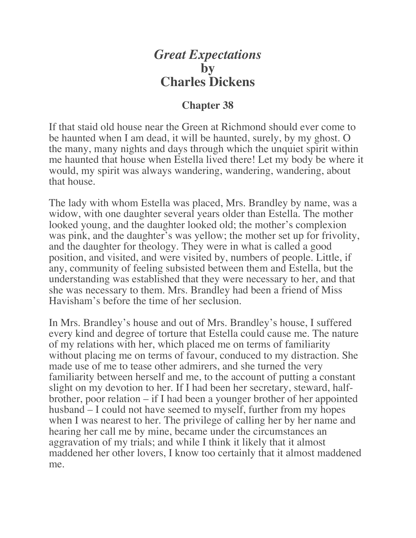## *Great Expectations* **by Charles Dickens**

## **Chapter 38**

If that staid old house near the Green at Richmond should ever come to be haunted when I am dead, it will be haunted, surely, by my ghost. O the many, many nights and days through which the unquiet spirit within me haunted that house when Estella lived there! Let my body be where it would, my spirit was always wandering, wandering, wandering, about that house.

The lady with whom Estella was placed, Mrs. Brandley by name, was a widow, with one daughter several years older than Estella. The mother looked young, and the daughter looked old; the mother's complexion was pink, and the daughter's was yellow; the mother set up for frivolity, and the daughter for theology. They were in what is called a good position, and visited, and were visited by, numbers of people. Little, if any, community of feeling subsisted between them and Estella, but the understanding was established that they were necessary to her, and that she was necessary to them. Mrs. Brandley had been a friend of Miss Havisham's before the time of her seclusion.

In Mrs. Brandley's house and out of Mrs. Brandley's house, I suffered every kind and degree of torture that Estella could cause me. The nature of my relations with her, which placed me on terms of familiarity without placing me on terms of favour, conduced to my distraction. She made use of me to tease other admirers, and she turned the very familiarity between herself and me, to the account of putting a constant slight on my devotion to her. If I had been her secretary, steward, halfbrother, poor relation – if I had been a younger brother of her appointed husband – I could not have seemed to myself, further from my hopes when I was nearest to her. The privilege of calling her by her name and hearing her call me by mine, became under the circumstances an aggravation of my trials; and while I think it likely that it almost maddened her other lovers, I know too certainly that it almost maddened me.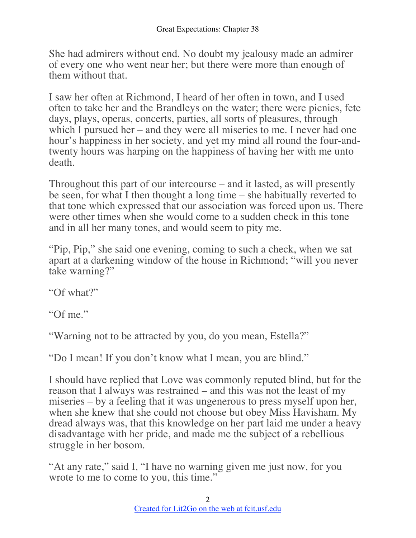She had admirers without end. No doubt my jealousy made an admirer of every one who went near her; but there were more than enough of them without that.

I saw her often at Richmond, I heard of her often in town, and I used often to take her and the Brandleys on the water; there were picnics, fete days, plays, operas, concerts, parties, all sorts of pleasures, through which I pursued her – and they were all miseries to me. I never had one hour's happiness in her society, and yet my mind all round the four-andtwenty hours was harping on the happiness of having her with me unto death.

Throughout this part of our intercourse – and it lasted, as will presently be seen, for what I then thought a long time – she habitually reverted to that tone which expressed that our association was forced upon us. There were other times when she would come to a sudden check in this tone and in all her many tones, and would seem to pity me.

"Pip, Pip," she said one evening, coming to such a check, when we sat apart at a darkening window of the house in Richmond; "will you never take warning?"

"Of what?"

"Of me."

"Warning not to be attracted by you, do you mean, Estella?"

"Do I mean! If you don't know what I mean, you are blind."

I should have replied that Love was commonly reputed blind, but for the reason that I always was restrained – and this was not the least of my miseries – by a feeling that it was ungenerous to press myself upon her, when she knew that she could not choose but obey Miss Havisham. My dread always was, that this knowledge on her part laid me under a heavy disadvantage with her pride, and made me the subject of a rebellious struggle in her bosom.

"At any rate," said I, "I have no warning given me just now, for you wrote to me to come to you, this time."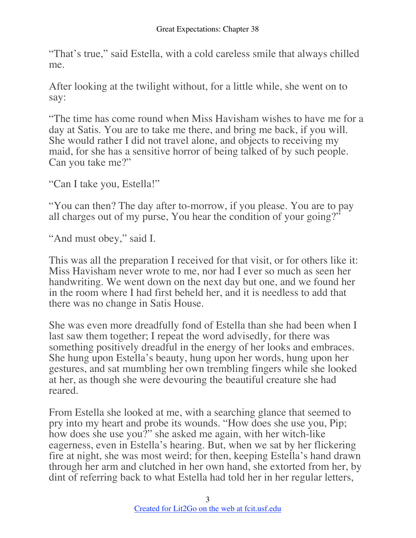"That's true," said Estella, with a cold careless smile that always chilled me.

After looking at the twilight without, for a little while, she went on to say:

"The time has come round when Miss Havisham wishes to have me for a day at Satis. You are to take me there, and bring me back, if you will. She would rather I did not travel alone, and objects to receiving my maid, for she has a sensitive horror of being talked of by such people. Can you take me?"

"Can I take you, Estella!"

"You can then? The day after to-morrow, if you please. You are to pay all charges out of my purse, You hear the condition of your going?"

"And must obey," said I.

This was all the preparation I received for that visit, or for others like it: Miss Havisham never wrote to me, nor had I ever so much as seen her handwriting. We went down on the next day but one, and we found her in the room where I had first beheld her, and it is needless to add that there was no change in Satis House.

She was even more dreadfully fond of Estella than she had been when I last saw them together; I repeat the word advisedly, for there was something positively dreadful in the energy of her looks and embraces. She hung upon Estella's beauty, hung upon her words, hung upon her gestures, and sat mumbling her own trembling fingers while she looked at her, as though she were devouring the beautiful creature she had reared.

From Estella she looked at me, with a searching glance that seemed to pry into my heart and probe its wounds. "How does she use you, Pip; how does she use you?" she asked me again, with her witch-like eagerness, even in Estella's hearing. But, when we sat by her flickering fire at night, she was most weird; for then, keeping Estella's hand drawn through her arm and clutched in her own hand, she extorted from her, by dint of referring back to what Estella had told her in her regular letters,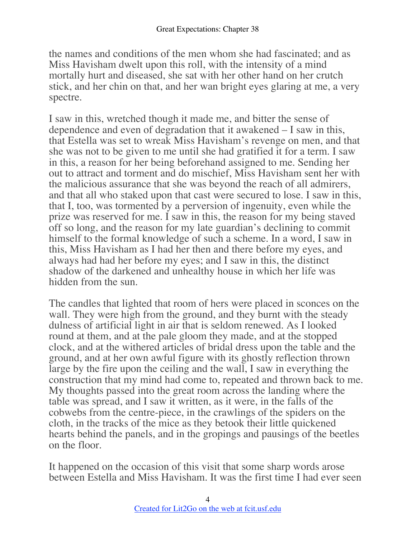the names and conditions of the men whom she had fascinated; and as Miss Havisham dwelt upon this roll, with the intensity of a mind mortally hurt and diseased, she sat with her other hand on her crutch stick, and her chin on that, and her wan bright eyes glaring at me, a very spectre.

I saw in this, wretched though it made me, and bitter the sense of dependence and even of degradation that it awakened – I saw in this, that Estella was set to wreak Miss Havisham's revenge on men, and that she was not to be given to me until she had gratified it for a term. I saw in this, a reason for her being beforehand assigned to me. Sending her out to attract and torment and do mischief, Miss Havisham sent her with the malicious assurance that she was beyond the reach of all admirers, and that all who staked upon that cast were secured to lose. I saw in this, that I, too, was tormented by a perversion of ingenuity, even while the prize was reserved for me. I saw in this, the reason for my being staved off so long, and the reason for my late guardian's declining to commit himself to the formal knowledge of such a scheme. In a word, I saw in this, Miss Havisham as I had her then and there before my eyes, and always had had her before my eyes; and I saw in this, the distinct shadow of the darkened and unhealthy house in which her life was hidden from the sun.

The candles that lighted that room of hers were placed in sconces on the wall. They were high from the ground, and they burnt with the steady dulness of artificial light in air that is seldom renewed. As I looked round at them, and at the pale gloom they made, and at the stopped clock, and at the withered articles of bridal dress upon the table and the ground, and at her own awful figure with its ghostly reflection thrown large by the fire upon the ceiling and the wall, I saw in everything the construction that my mind had come to, repeated and thrown back to me. My thoughts passed into the great room across the landing where the table was spread, and I saw it written, as it were, in the falls of the cobwebs from the centre-piece, in the crawlings of the spiders on the cloth, in the tracks of the mice as they betook their little quickened hearts behind the panels, and in the gropings and pausings of the beetles on the floor.

It happened on the occasion of this visit that some sharp words arose between Estella and Miss Havisham. It was the first time I had ever seen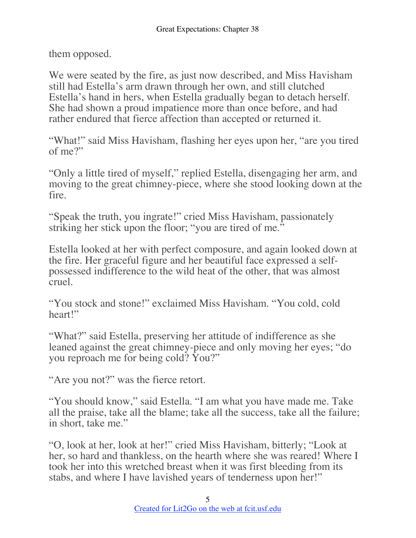them opposed.

We were seated by the fire, as just now described, and Miss Havisham still had Estella's arm drawn through her own, and still clutched Estella's hand in hers, when Estella gradually began to detach herself. She had shown a proud impatience more than once before, and had rather endured that fierce affection than accepted or returned it.

"What!" said Miss Havisham, flashing her eyes upon her, "are you tired of me?"

"Only a little tired of myself," replied Estella, disengaging her arm, and moving to the great chimney-piece, where she stood looking down at the fire.

"Speak the truth, you ingrate!" cried Miss Havisham, passionately striking her stick upon the floor; "you are tired of me."

Estella looked at her with perfect composure, and again looked down at the fire. Her graceful figure and her beautiful face expressed a selfpossessed indifference to the wild heat of the other, that was almost cruel.

"You stock and stone!" exclaimed Miss Havisham. "You cold, cold heart!"

"What?" said Estella, preserving her attitude of indifference as she leaned against the great chimney-piece and only moving her eyes; "do you reproach me for being cold? You?"

"Are you not?" was the fierce retort.

"You should know," said Estella. "I am what you have made me. Take all the praise, take all the blame; take all the success, take all the failure; in short, take me."

"O, look at her, look at her!" cried Miss Havisham, bitterly; "Look at her, so hard and thankless, on the hearth where she was reared! Where I took her into this wretched breast when it was first bleeding from its stabs, and where I have lavished years of tenderness upon her!"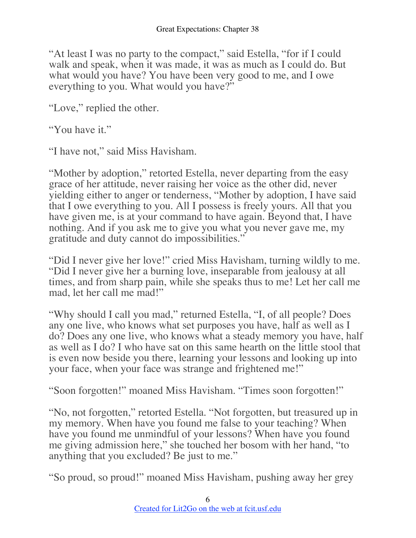"At least I was no party to the compact," said Estella, "for if I could walk and speak, when it was made, it was as much as I could do. But what would you have? You have been very good to me, and I owe everything to you. What would you have?"

"Love," replied the other.

"You have it."

"I have not," said Miss Havisham.

"Mother by adoption," retorted Estella, never departing from the easy grace of her attitude, never raising her voice as the other did, never yielding either to anger or tenderness, "Mother by adoption, I have said that I owe everything to you. All I possess is freely yours. All that you have given me, is at your command to have again. Beyond that, I have nothing. And if you ask me to give you what you never gave me, my gratitude and duty cannot do impossibilities."

"Did I never give her love!" cried Miss Havisham, turning wildly to me. "Did I never give her a burning love, inseparable from jealousy at all times, and from sharp pain, while she speaks thus to me! Let her call me mad, let her call me mad!"

"Why should I call you mad," returned Estella, "I, of all people? Does any one live, who knows what set purposes you have, half as well as I do? Does any one live, who knows what a steady memory you have, half as well as I do? I who have sat on this same hearth on the little stool that is even now beside you there, learning your lessons and looking up into your face, when your face was strange and frightened me!"

"Soon forgotten!" moaned Miss Havisham. "Times soon forgotten!"

"No, not forgotten," retorted Estella. "Not forgotten, but treasured up in my memory. When have you found me false to your teaching? When have you found me unmindful of your lessons? When have you found me giving admission here," she touched her bosom with her hand, "to anything that you excluded? Be just to me."

"So proud, so proud!" moaned Miss Havisham, pushing away her grey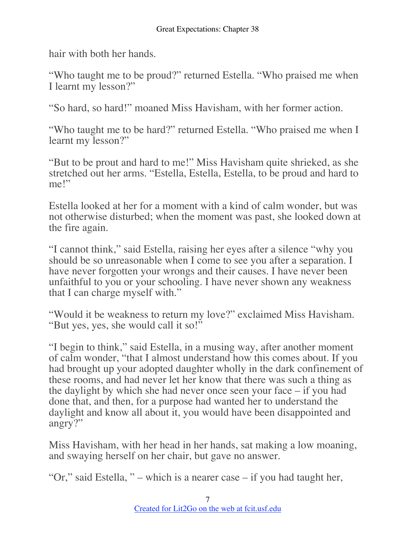hair with both her hands.

"Who taught me to be proud?" returned Estella. "Who praised me when I learnt my lesson?"

"So hard, so hard!" moaned Miss Havisham, with her former action.

"Who taught me to be hard?" returned Estella. "Who praised me when I learnt my lesson?"

"But to be prout and hard to me!" Miss Havisham quite shrieked, as she stretched out her arms. "Estella, Estella, Estella, to be proud and hard to me!"

Estella looked at her for a moment with a kind of calm wonder, but was not otherwise disturbed; when the moment was past, she looked down at the fire again.

"I cannot think," said Estella, raising her eyes after a silence "why you should be so unreasonable when I come to see you after a separation. I have never forgotten your wrongs and their causes. I have never been unfaithful to you or your schooling. I have never shown any weakness that I can charge myself with."

"Would it be weakness to return my love?" exclaimed Miss Havisham. "But yes, yes, she would call it so!"

"I begin to think," said Estella, in a musing way, after another moment of calm wonder, "that I almost understand how this comes about. If you had brought up your adopted daughter wholly in the dark confinement of these rooms, and had never let her know that there was such a thing as the daylight by which she had never once seen your face – if you had done that, and then, for a purpose had wanted her to understand the daylight and know all about it, you would have been disappointed and angry?"

Miss Havisham, with her head in her hands, sat making a low moaning, and swaying herself on her chair, but gave no answer.

"Or," said Estella, " – which is a nearer case – if you had taught her,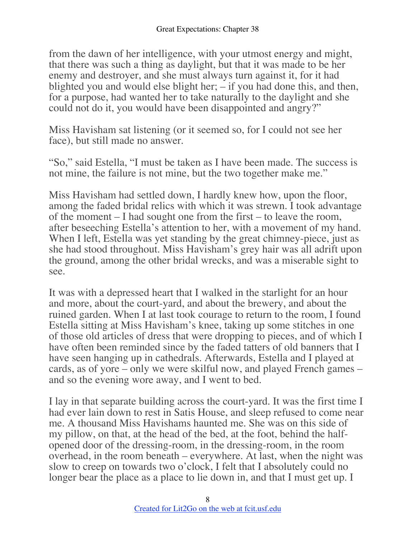from the dawn of her intelligence, with your utmost energy and might, that there was such a thing as daylight, but that it was made to be her enemy and destroyer, and she must always turn against it, for it had blighted you and would else blight her; – if you had done this, and then, for a purpose, had wanted her to take naturally to the daylight and she could not do it, you would have been disappointed and angry?"

Miss Havisham sat listening (or it seemed so, for I could not see her face), but still made no answer.

"So," said Estella, "I must be taken as I have been made. The success is not mine, the failure is not mine, but the two together make me."

Miss Havisham had settled down, I hardly knew how, upon the floor, among the faded bridal relics with which it was strewn. I took advantage of the moment – I had sought one from the first – to leave the room, after beseeching Estella's attention to her, with a movement of my hand. When I left, Estella was yet standing by the great chimney-piece, just as she had stood throughout. Miss Havisham's grey hair was all adrift upon the ground, among the other bridal wrecks, and was a miserable sight to see.

It was with a depressed heart that I walked in the starlight for an hour and more, about the court-yard, and about the brewery, and about the ruined garden. When I at last took courage to return to the room, I found Estella sitting at Miss Havisham's knee, taking up some stitches in one of those old articles of dress that were dropping to pieces, and of which I have often been reminded since by the faded tatters of old banners that I have seen hanging up in cathedrals. Afterwards, Estella and I played at cards, as of yore – only we were skilful now, and played French games – and so the evening wore away, and I went to bed.

I lay in that separate building across the court-yard. It was the first time I had ever lain down to rest in Satis House, and sleep refused to come near me. A thousand Miss Havishams haunted me. She was on this side of my pillow, on that, at the head of the bed, at the foot, behind the halfopened door of the dressing-room, in the dressing-room, in the room overhead, in the room beneath – everywhere. At last, when the night was slow to creep on towards two o'clock, I felt that I absolutely could no longer bear the place as a place to lie down in, and that I must get up. I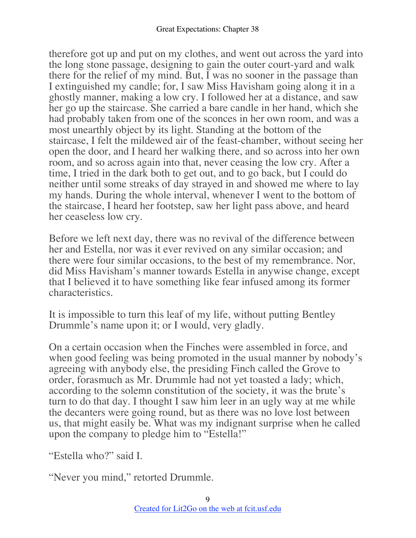therefore got up and put on my clothes, and went out across the yard into the long stone passage, designing to gain the outer court-yard and walk there for the relief of my mind. But, I was no sooner in the passage than I extinguished my candle; for, I saw Miss Havisham going along it in a ghostly manner, making a low cry. I followed her at a distance, and saw her go up the staircase. She carried a bare candle in her hand, which she had probably taken from one of the sconces in her own room, and was a most unearthly object by its light. Standing at the bottom of the staircase, I felt the mildewed air of the feast-chamber, without seeing her open the door, and I heard her walking there, and so across into her own room, and so across again into that, never ceasing the low cry. After a time, I tried in the dark both to get out, and to go back, but I could do neither until some streaks of day strayed in and showed me where to lay my hands. During the whole interval, whenever I went to the bottom of the staircase, I heard her footstep, saw her light pass above, and heard her ceaseless low cry.

Before we left next day, there was no revival of the difference between her and Estella, nor was it ever revived on any similar occasion; and there were four similar occasions, to the best of my remembrance. Nor, did Miss Havisham's manner towards Estella in anywise change, except that I believed it to have something like fear infused among its former characteristics.

It is impossible to turn this leaf of my life, without putting Bentley Drummle's name upon it; or I would, very gladly.

On a certain occasion when the Finches were assembled in force, and when good feeling was being promoted in the usual manner by nobody's agreeing with anybody else, the presiding Finch called the Grove to order, forasmuch as Mr. Drummle had not yet toasted a lady; which, according to the solemn constitution of the society, it was the brute's turn to do that day. I thought I saw him leer in an ugly way at me while the decanters were going round, but as there was no love lost between us, that might easily be. What was my indignant surprise when he called upon the company to pledge him to "Estella!"

"Estella who?" said I.

"Never you mind," retorted Drummle.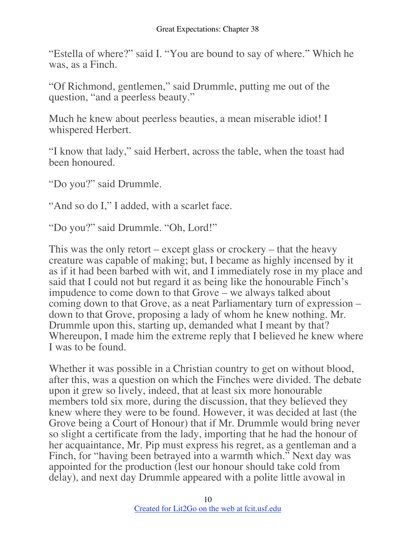"Estella of where?" said I. "You are bound to say of where." Which he was, as a Finch.

"Of Richmond, gentlemen," said Drummle, putting me out of the question, "and a peerless beauty."

Much he knew about peerless beauties, a mean miserable idiot! I whispered Herbert.

"I know that lady," said Herbert, across the table, when the toast had been honoured.

"Do you?" said Drummle.

"And so do I," I added, with a scarlet face.

"Do you?" said Drummle. "Oh, Lord!"

This was the only retort – except glass or crockery – that the heavy creature was capable of making; but, I became as highly incensed by it as if it had been barbed with wit, and I immediately rose in my place and said that I could not but regard it as being like the honourable Finch's impudence to come down to that Grove – we always talked about coming down to that Grove, as a neat Parliamentary turn of expression – down to that Grove, proposing a lady of whom he knew nothing. Mr. Drummle upon this, starting up, demanded what I meant by that? Whereupon, I made him the extreme reply that I believed he knew where I was to be found.

Whether it was possible in a Christian country to get on without blood, after this, was a question on which the Finches were divided. The debate upon it grew so lively, indeed, that at least six more honourable members told six more, during the discussion, that they believed they knew where they were to be found. However, it was decided at last (the Grove being a Court of Honour) that if Mr. Drummle would bring never so slight a certificate from the lady, importing that he had the honour of her acquaintance, Mr. Pip must express his regret, as a gentleman and a Finch, for "having been betrayed into a warmth which." Next day was appointed for the production (lest our honour should take cold from delay), and next day Drummle appeared with a polite little avowal in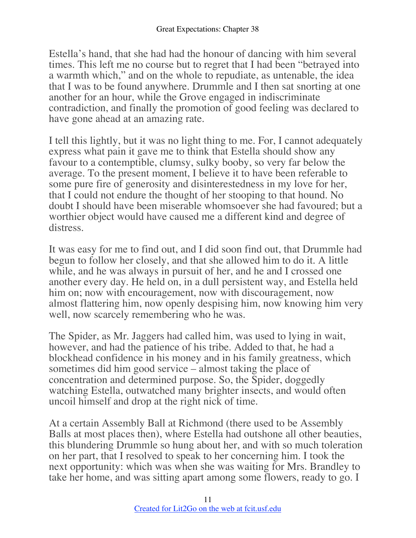Estella's hand, that she had had the honour of dancing with him several times. This left me no course but to regret that I had been "betrayed into a warmth which," and on the whole to repudiate, as untenable, the idea that I was to be found anywhere. Drummle and I then sat snorting at one another for an hour, while the Grove engaged in indiscriminate contradiction, and finally the promotion of good feeling was declared to have gone ahead at an amazing rate.

I tell this lightly, but it was no light thing to me. For, I cannot adequately express what pain it gave me to think that Estella should show any favour to a contemptible, clumsy, sulky booby, so very far below the average. To the present moment, I believe it to have been referable to some pure fire of generosity and disinterestedness in my love for her, that I could not endure the thought of her stooping to that hound. No doubt I should have been miserable whomsoever she had favoured; but a worthier object would have caused me a different kind and degree of distress.

It was easy for me to find out, and I did soon find out, that Drummle had begun to follow her closely, and that she allowed him to do it. A little while, and he was always in pursuit of her, and he and I crossed one another every day. He held on, in a dull persistent way, and Estella held him on; now with encouragement, now with discouragement, now almost flattering him, now openly despising him, now knowing him very well, now scarcely remembering who he was.

The Spider, as Mr. Jaggers had called him, was used to lying in wait, however, and had the patience of his tribe. Added to that, he had a blockhead confidence in his money and in his family greatness, which sometimes did him good service – almost taking the place of concentration and determined purpose. So, the Spider, doggedly watching Estella, outwatched many brighter insects, and would often uncoil himself and drop at the right nick of time.

At a certain Assembly Ball at Richmond (there used to be Assembly Balls at most places then), where Estella had outshone all other beauties, this blundering Drummle so hung about her, and with so much toleration on her part, that I resolved to speak to her concerning him. I took the next opportunity: which was when she was waiting for Mrs. Brandley to take her home, and was sitting apart among some flowers, ready to go. I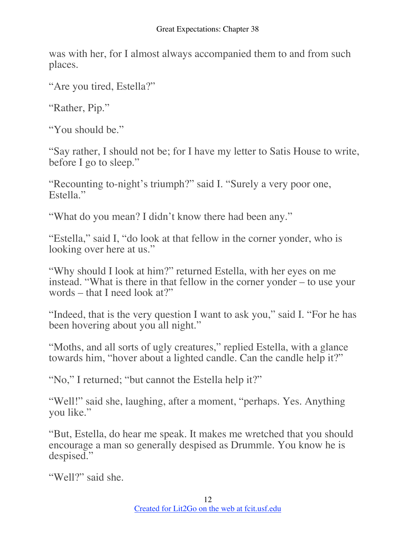was with her, for I almost always accompanied them to and from such places.

"Are you tired, Estella?"

"Rather, Pip."

"You should be."

"Say rather, I should not be; for I have my letter to Satis House to write, before I go to sleep."

"Recounting to-night's triumph?" said I. "Surely a very poor one, Estella."

"What do you mean? I didn't know there had been any."

"Estella," said I, "do look at that fellow in the corner yonder, who is looking over here at us."

"Why should I look at him?" returned Estella, with her eyes on me instead. "What is there in that fellow in the corner yonder – to use your words – that I need look at?"

"Indeed, that is the very question I want to ask you," said I. "For he has been hovering about you all night."

"Moths, and all sorts of ugly creatures," replied Estella, with a glance towards him, "hover about a lighted candle. Can the candle help it?"

"No," I returned; "but cannot the Estella help it?"

"Well!" said she, laughing, after a moment, "perhaps. Yes. Anything you like."

"But, Estella, do hear me speak. It makes me wretched that you should encourage a man so generally despised as Drummle. You know he is despised."

"Well?" said she.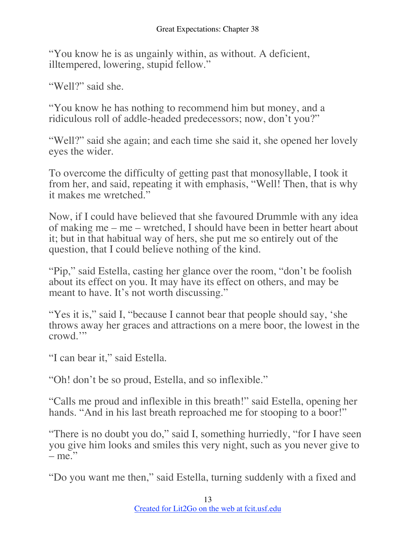"You know he is as ungainly within, as without. A deficient, illtempered, lowering, stupid fellow."

"Well?" said she.

"You know he has nothing to recommend him but money, and a ridiculous roll of addle-headed predecessors; now, don't you?"

"Well?" said she again; and each time she said it, she opened her lovely eyes the wider.

To overcome the difficulty of getting past that monosyllable, I took it from her, and said, repeating it with emphasis, "Well! Then, that is why it makes me wretched."

Now, if I could have believed that she favoured Drummle with any idea of making me – me – wretched, I should have been in better heart about it; but in that habitual way of hers, she put me so entirely out of the question, that I could believe nothing of the kind.

"Pip," said Estella, casting her glance over the room, "don't be foolish about its effect on you. It may have its effect on others, and may be meant to have. It's not worth discussing."

"Yes it is," said I, "because I cannot bear that people should say, 'she throws away her graces and attractions on a mere boor, the lowest in the crowd.'"

"I can bear it," said Estella.

"Oh! don't be so proud, Estella, and so inflexible."

"Calls me proud and inflexible in this breath!" said Estella, opening her hands. "And in his last breath reproached me for stooping to a boor!"

"There is no doubt you do," said I, something hurriedly, "for I have seen you give him looks and smiles this very night, such as you never give to  $-$  me."

"Do you want me then," said Estella, turning suddenly with a fixed and